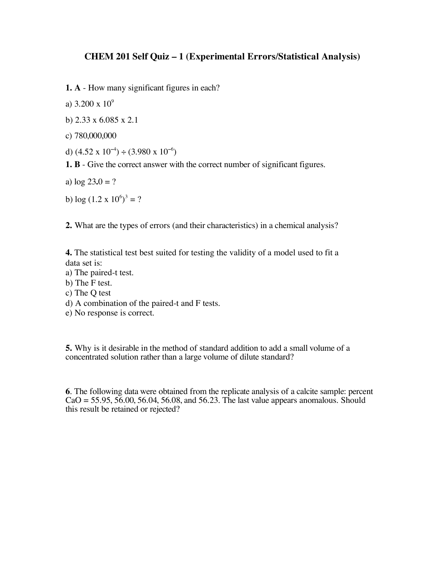## **CHEM 201 Self Quiz – 1 (Experimental Errors/Statistical Analysis)**

- **1. A** How many significant figures in each?
- a)  $3.200 \times 10^9$
- b) 2.33 x 6.085 x 2.1
- c) 780,000,000
- d)  $(4.52 \times 10^{-4}) \div (3.980 \times 10^{-6})$
- **1. B** Give the correct answer with the correct number of significant figures.
- a)  $log 23.0 = ?$
- b)  $\log{(1.2 \times 10^6)^3} = ?$

**2.** What are the types of errors (and their characteristics) in a chemical analysis?

**4.** The statistical test best suited for testing the validity of a model used to fit a data set is:

- a) The paired-t test.
- b) The F test.
- c) The Q test
- d) A combination of the paired-t and F tests.
- e) No response is correct.

**5.** Why is it desirable in the method of standard addition to add a small volume of a concentrated solution rather than a large volume of dilute standard?

**6**. The following data were obtained from the replicate analysis of a calcite sample: percent  $CaO = 55.95, 56.00, 56.04, 56.08,$  and 56.23. The last value appears anomalous. Should this result be retained or rejected?